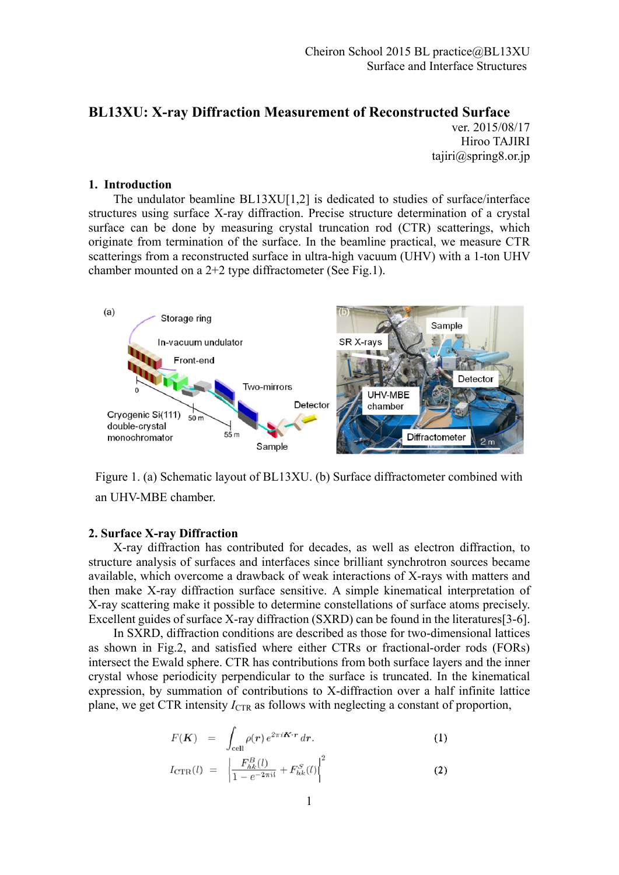## **BL13XU: X-ray Diffraction Measurement of Reconstructed Surface**

ver. 2015/08/17 Hiroo TAJIRI tajiri@spring8.or.jp

## **1. Introduction**

 The undulator beamline BL13XU[1,2] is dedicated to studies of surface/interface structures using surface X-ray diffraction. Precise structure determination of a crystal surface can be done by measuring crystal truncation rod (CTR) scatterings, which originate from termination of the surface. In the beamline practical, we measure CTR scatterings from a reconstructed surface in ultra-high vacuum (UHV) with a 1-ton UHV chamber mounted on a 2+2 type diffractometer (See Fig.1).



Figure 1. (a) Schematic layout of BL13XU. (b) Surface diffractometer combined with an UHV-MBE chamber.

## **2. Surface X-ray Diffraction**

 X-ray diffraction has contributed for decades, as well as electron diffraction, to structure analysis of surfaces and interfaces since brilliant synchrotron sources became available, which overcome a drawback of weak interactions of X-rays with matters and then make X-ray diffraction surface sensitive. A simple kinematical interpretation of X-ray scattering make it possible to determine constellations of surface atoms precisely. Excellent guides of surface X-ray diffraction (SXRD) can be found in the literatures [3-6].

 In SXRD, diffraction conditions are described as those for two-dimensional lattices as shown in Fig.2, and satisfied where either CTRs or fractional-order rods (FORs) intersect the Ewald sphere. CTR has contributions from both surface layers and the inner crystal whose periodicity perpendicular to the surface is truncated. In the kinematical expression, by summation of contributions to X-diffraction over a half infinite lattice plane, we get CTR intensity  $I_{CTR}$  as follows with neglecting a constant of proportion,

$$
F(\mathbf{K}) = \int_{\text{cell}} \rho(\mathbf{r}) e^{2\pi i \mathbf{K} \cdot \mathbf{r}} d\mathbf{r}.
$$
  
\n
$$
I_{\text{CTR}}(l) = \left| \frac{F_{hk}^B(l)}{1 - e^{-2\pi i l}} + F_{hk}^S(l) \right|^2
$$
\n(2)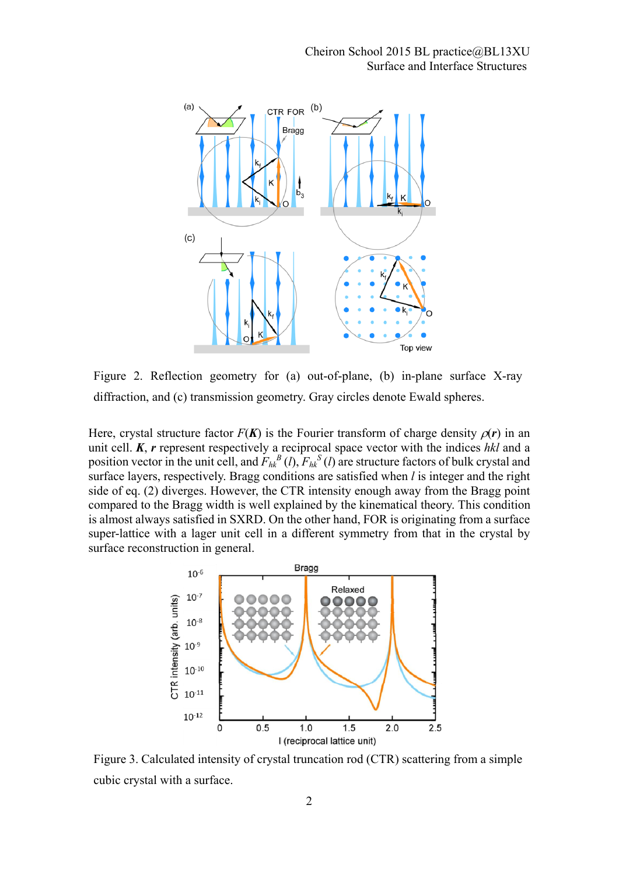

Figure 2. Reflection geometry for (a) out-of-plane, (b) in-plane surface X-ray diffraction, and (c) transmission geometry. Gray circles denote Ewald spheres.

Here, crystal structure factor  $F(K)$  is the Fourier transform of charge density  $\rho(r)$  in an unit cell. *K*, *r* represent respectively a reciprocal space vector with the indices *hkl* and a position vector in the unit cell, and  $F_{hk}^B$  (*l*),  $F_{hk}^S$  (*l*) are structure factors of bulk crystal and surface layers, respectively. Bragg conditions are satisfied when *l* is integer and the right side of eq. (2) diverges. However, the CTR intensity enough away from the Bragg point compared to the Bragg width is well explained by the kinematical theory. This condition is almost always satisfied in SXRD. On the other hand, FOR is originating from a surface super-lattice with a lager unit cell in a different symmetry from that in the crystal by surface reconstruction in general.



Figure 3. Calculated intensity of crystal truncation rod (CTR) scattering from a simple cubic crystal with a surface.